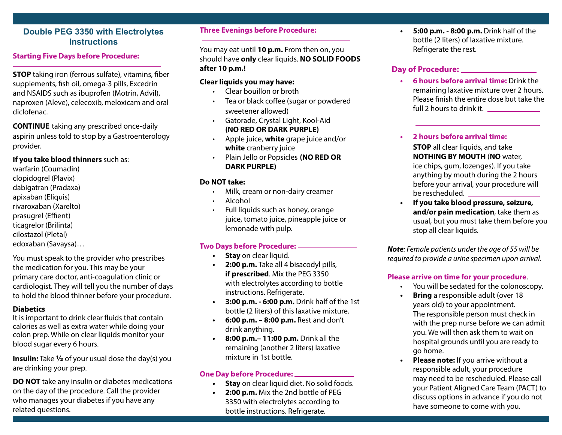#### **Double PEG 3350 with Electrolytes Instructions**

#### **Starting Five Days before Procedure:**

**STOP** taking iron (ferrous sulfate), vitamins, fiber supplements, fish oil, omega-3 pills, Excedrin and NSAIDS such as ibuprofen (Motrin, Advil), naproxen (Aleve), celecoxib, meloxicam and oral diclofenac.

**CONTINUE** taking any prescribed once-daily aspirin unless told to stop by a Gastroenterology provider.

#### **If you take blood thinners** such as:

warfarin (Coumadin) clopidogrel (Plavix) dabigatran (Pradaxa) apixaban (Eliquis) rivaroxaban (Xarelto) prasugrel (Effient) ticagrelor (Brilinta) cilostazol (Pletal) edoxaban (Savaysa)…

You must speak to the provider who prescribes the medication for you. This may be your primary care doctor, anti-coagulation clinic or cardiologist. They will tell you the number of days to hold the blood thinner before your procedure.

#### **Diabetics**

It is important to drink clear fluids that contain calories as well as extra water while doing your colon prep. While on clear liquids monitor your blood sugar every 6 hours.

**Insulin:** Take **½** of your usual dose the day(s) you are drinking your prep.

**DO NOT** take any insulin or diabetes medications on the day of the procedure. Call the provider who manages your diabetes if you have any related questions.

#### **Three Evenings before Procedure:**

You may eat until **10 p.m.** From then on, you should have **only** clear liquids. **NO SOLID FOODS after 10 p.m.!**

#### **Clear liquids you may have:**

- Clear bouillon or broth
- Tea or black coffee (sugar or powdered sweetener allowed)
- Gatorade, Crystal Light, Kool-Aid **(NO RED OR DARK PURPLE)**
- Apple juice, **white** grape juice and/or **white** cranberry juice
- Plain Jello or Popsicles **(NO RED OR DARK PURPLE)**

#### **Do NOT take:**

- Milk, cream or non-dairy creamer
- Alcohol
- Full liquids such as honey, orange juice, tomato juice, pineapple juice or lemonade with pulp.

#### **Two Days before Procedure:**

- **• Stay** on clear liquid.
- **• 2:00 p.m.** Take all 4 bisacodyl pills, **if prescribed**. Mix the PEG 3350 with electrolytes according to bottle instructions. Refrigerate.
- **• 3:00 p.m. 6:00 p.m.** Drink half of the 1st bottle (2 liters) of this laxative mixture.
- **• 6:00 p.m. 8:00 p.m.** Rest and don't drink anything.
- **• 8:00 p.m.– 11:00 p.m.** Drink all the remaining (another 2 liters) laxative mixture in 1st bottle.

#### **One Day before Procedure:**

- **• Stay** on clear liquid diet. No solid foods.
- **• 2:00 p.m.** Mix the 2nd bottle of PEG 3350 with electrolytes according to bottle instructions. Refrigerate.

**• 5:00 p.m. - 8:00 p.m.** Drink half of the bottle (2 liters) of laxative mixture. Refrigerate the rest.

#### **Day of Procedure:**

**• 6 hours before arrival time:** Drink the remaining laxative mixture over 2 hours. Please finish the entire dose but take the full 2 hours to drink it.

**• 2 hours before arrival time: STOP** all clear liquids, and take **NOTHING BY MOUTH** (**NO** water, ice chips, gum, lozenges). If you take anything by mouth during the 2 hours before your arrival, your procedure will be rescheduled.

**• If you take blood pressure, seizure, and/or pain medication**, take them as usual, but you must take them before you stop all clear liquids.

*Note: Female patients under the age of 55 will be required to provide a urine specimen upon arrival.*

#### **Please arrive on time for your procedure**.

- You will be sedated for the colonoscopy.
- **• Bring** a responsible adult (over 18 years old) to your appointment. The responsible person must check in with the prep nurse before we can admit you. We will then ask them to wait on hospital grounds until you are ready to go home.
- **• Please note:** If you arrive without a responsible adult, your procedure may need to be rescheduled. Please call your Patient Aligned Care Team (PACT) to discuss options in advance if you do not have someone to come with you.